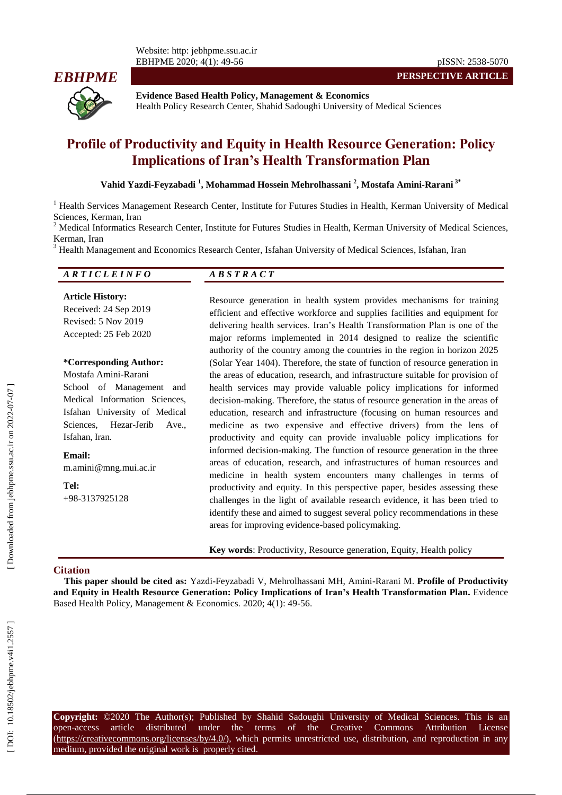Website: http: jebhpme.ssu.ac.ir EBHPME 2020; 4(1): 49 -56 pISSN: 2538 -5070



**PERSPECTIVE ARTICLE**

**Evidence Based Health Policy, Management & Economics** Health Policy Research Center, Shahid Sadoughi University of Medical Sciences

# **Profile of Productivity and Equity in Health Resource Generation: Policy Implications of Iran's Health Transformation Plan**

#### **Vahid Yazdi -Feyzabadi 1 , Mohammad Hossein Mehrolhassani 2 , Mostafa Amini -Rarani 3 \***

<sup>1</sup> Health Services Management Research Center, Institute for Futures Studies in Health, Kerman University of Medical Sciences, Kerman, Iran<br><sup>2</sup> Medical Informatics Research Center, Institute for Futures Studies in Health, Kerman University of Medical Sciences,

Kerman, Iran<br><sup>3</sup> Health Management and Economics Research Center, Isfahan University of Medical Sciences, Isfahan, Iran

| ARTICLEINFO                                                                                      | ABSTRACT                                                                                                                                                                                                                                                                                                                                                                                  |
|--------------------------------------------------------------------------------------------------|-------------------------------------------------------------------------------------------------------------------------------------------------------------------------------------------------------------------------------------------------------------------------------------------------------------------------------------------------------------------------------------------|
| <b>Article History:</b><br>Received: 24 Sep 2019<br>Revised: 5 Nov 2019<br>Accepted: 25 Feb 2020 | Resource generation in health system provides mechanisms for training<br>efficient and effective workforce and supplies facilities and equipment for<br>delivering health services. Iran's Health Transformation Plan is one of the<br>major reforms implemented in 2014 designed to realize the scientific<br>authority of the country among the countries in the region in horizon 2025 |
| *Corresponding Author:                                                                           | (Solar Year 1404). Therefore, the state of function of resource generation in                                                                                                                                                                                                                                                                                                             |
| Mostafa Amini-Rarani                                                                             | the areas of education, research, and infrastructure suitable for provision of                                                                                                                                                                                                                                                                                                            |
| School of Management<br>and                                                                      | health services may provide valuable policy implications for informed                                                                                                                                                                                                                                                                                                                     |
| Medical Information Sciences,                                                                    | decision-making. Therefore, the status of resource generation in the areas of                                                                                                                                                                                                                                                                                                             |
| Isfahan University of Medical                                                                    | education, research and infrastructure (focusing on human resources and                                                                                                                                                                                                                                                                                                                   |
| Sciences, Hezar-Jerib Ave.,                                                                      | medicine as two expensive and effective drivers) from the lens of                                                                                                                                                                                                                                                                                                                         |
| Isfahan, Iran.                                                                                   | productivity and equity can provide invaluable policy implications for                                                                                                                                                                                                                                                                                                                    |
| Email:<br>m.amini@mng.mui.ac.ir                                                                  | informed decision-making. The function of resource generation in the three<br>areas of education, research, and infrastructures of human resources and<br>medicine in health system encounters many challenges in terms of                                                                                                                                                                |
| Tel:                                                                                             | productivity and equity. In this perspective paper, besides assessing these                                                                                                                                                                                                                                                                                                               |
| $+98-3137925128$                                                                                 | challenges in the light of available research evidence, it has been tried to                                                                                                                                                                                                                                                                                                              |
|                                                                                                  | identify these and aimed to suggest several policy recommendations in these                                                                                                                                                                                                                                                                                                               |
|                                                                                                  | areas for improving evidence-based policymaking.                                                                                                                                                                                                                                                                                                                                          |

**Key words**: Productivity, Resource generation, Equity, Health policy

#### **Citation**

**This paper should be cited as:** Yazdi -Feyzabadi V, Mehrolhassani MH, Amini -Rarani M. **Profile of Productivity and Equity in Health Resource Generation: Policy Implications of Iran's Health Transformation Plan .** Evidence Based Health Policy, Management & Economics. 2020; 4(1): 49-56.

**Copyright:** ©2020 The Author(s); Published by Shahid Sadoughi University of Medical Sciences. This is an open-access article distributed under the terms of the Creative Commons Attribution License (https://creativecommons.org/licenses/by/4.0/), which permits unrestricted use, distribution, and reproduction in any medium, provided the original work is properly cited.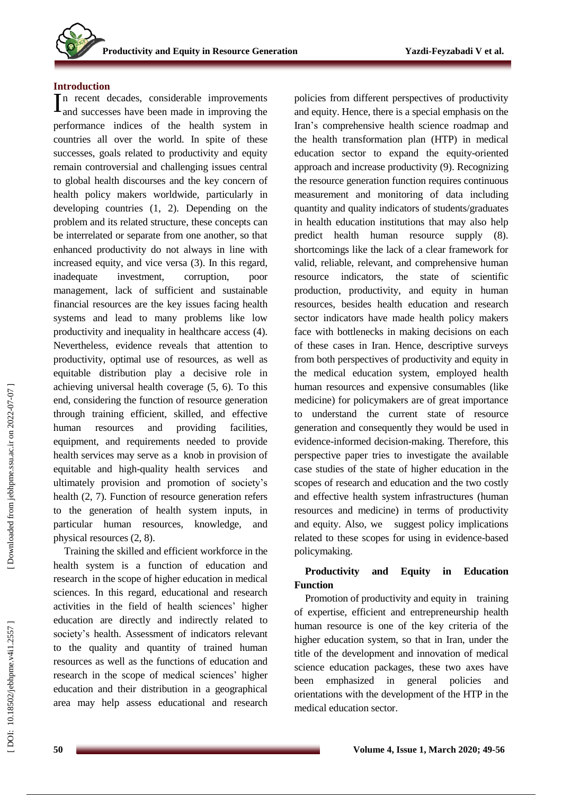# **Introduction**

n recent decades, considerable improvements  $\prod_{\text{and successes have been made in improving the}}$ performance indic es of the health system in countries al l over the world. In spite of these successes, goals related to productivity and equity remain controversial and challenging issues central to global health discourses and the key concern of health policy makers worldwide, particularly in developing countries (1, 2). Depending on the problem and its related structure, these concepts can be interrelated or separate from one another, so that enhanced productivity do not always in line with increased equity, and vice versa (3). In this regard, inadequate investment, corruption, poor management, lack of sufficient and sustainable financial resources are the key issues facing health systems and lead to many problems like low productivity and inequality in healthcare access (4). Nevertheless , evidence reveals that attention to productivity, optimal use of resources, as well as equitable distribution play a decisive role in achieving universal health coverage (5, 6). To this end, considering the function of resource generation through training efficient, skilled, and effective human resources and providing facilities, equipment , and requirements needed to provide health services may serve as a knob in provision of equitable and high -quality health services and ultimately provision and promotio n of society's health (2, 7). Function of resource generation refers to the generation of health system inputs, in particular human resources, knowledge, and physical resources (2, 8).

Training the skilled and efficient workforce in the health system is a function of education and research in the scope of higher education in medical sciences. In this regard, educational and research activities in the field of health sciences' higher education are directly and indirectly related to society's health. Assessment of indicators relevant to the quality and quantity of trained human resources as well as the functions of education and research in the scope of medical sciences' higher education and their distribution in a geographical area may help assess educational and research policies from different perspectives of productivity and equity. Hence, there is a special emphasis on the Iran's comprehensive health science roadmap and the health transformation plan (HTP) in medical education sector to expand the equity -oriented approach and increase productivity (9). Recognizing the resource generation function requires continuous measurement and monitoring of data including quantity and quality indicators of student s /graduates in health education institutions that may also help predict health human resource supply (8). shortcomings like the lack of a clear framework for valid, reliable, relevant, and comprehensive human resource indicators, the state of scientific production, productivity , and equity in human resources, besides health education and research sector indicators have made health policy makers face with bottlenecks in making decisions on each of these cases in Iran. Hence, descriptive surveys from both perspectives of productivity and equity in the medical education system , employed health human resources and expensive consumables (like medicine) for policymakers are of great importance to understand the current state of resource generation and consequently they would be use d in evidence -informed decision -makin g. Therefore, this perspective paper tries to investigate the available case studies of the state of higher education in the scope s of research and education and the two costly and effective health system infrastructures (human resources and medicine) in terms of productivity and equity. Also, we suggest policy implications related to these scopes for using in evidence-based policymaking.

#### **Productivity and Equity in Education Function**

Promotion of productivity and equity in training of expertise, efficien t and entrepreneurship health human resource is one of the key criteria of the higher education system, so that in Iran, under the title of the development and innovation of medical science education packages, these two axes have been emphasized in general policies and orientations with the development of the HTP in the medical education sector .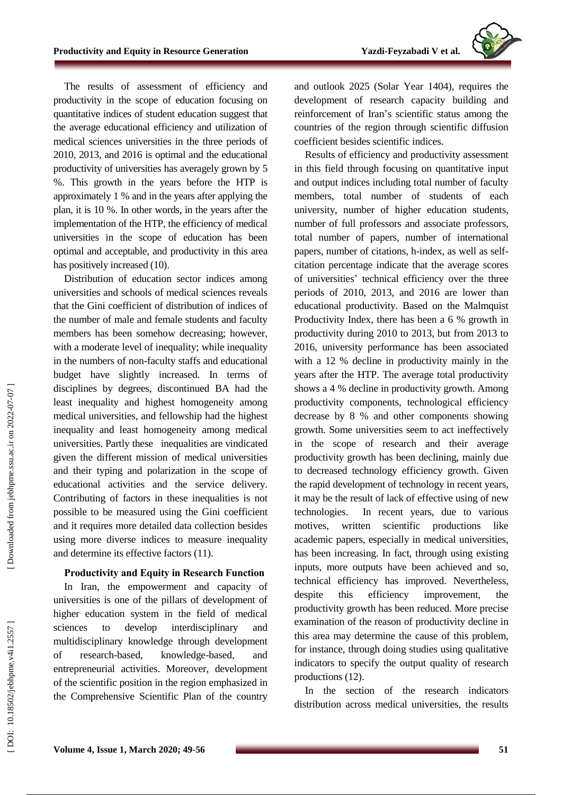

The results of assessment of efficiency and productivity in the scope of education focusing on quantitative indices of student education suggest that the average educational efficiency and utilization of medical sciences universities in the three periods of 2010, 2013, and 2016 is optimal and the educational productivity of universities has averagely grown by 5 %. This growth in the years before the HTP is approximately 1 % and in the years after applying the plan, it is 10 %. In other words, in the years after the implementation of the HTP, the efficiency of medical universities in the scope of education has been optimal and acceptable, and productivity in this area has positively increased (10).

Distribution of education sector indices among universities and schools of medical sciences reveals that the Gini coefficient of distribution of indices of the number of male and female students and faculty member s has been somehow decreasing; however, with a moderate level of inequality; while inequality in the number s of non -faculty staffs and educational budget have slightly increased. In terms of disciplines by degrees, discontinued BA had the least inequality and highest homogeneity among medical universities, and fellowship had the highest inequality and least homogeneity among medical universities . Partly these inequalities are vindicated given the different mission of medical universities and their typing and polarization in the scope of educational activities and the service delivery. Contributing of factors in these inequalities is not possible to be measured using the Gini coefficient and it requires more detailed data collection besides using more diverse indices to measure inequality and determine its effective factors (11).

# **Productivity and Equity in Research Function**

In Iran, the empowerment and capacity of universities is one of the pillars of development of higher education system in the field of medical sciences to develop interdisciplinary and multidisciplinary knowledge through development of research -based, knowledge -based, and entrepreneurial activities. Moreover, development of the scientific position in the region emphasized in the Comprehensive Scientific Plan of the country

and outlook 2025 (Solar Year 1404), requires the development of research capacity building and reinforcement of Iran 's scientific status among the countries of the region through scientific diffusion coefficient besides scientific indices.

Results of efficiency and productivity assessment in this field through focusing on quantitative input and output indices including total number of faculty members, total number of students of each university, number of higher education students, number of full professors and associate professors, total number of papers, number of international papers, number of citation s, h -index, as well as selfcitation percentage indicate that the average scores of universities ' technical efficiency over the three periods of 2010, 2013 , and 2016 are lower than educational productivity. Based on the Malmquist Productivity Index, there has been a 6 % growth in productivity during 2010 to 2013, but from 2013 to 2016, university performance has been associated with a 12 % decline in productivity mainly in the years after the HTP . The average total productivity shows a 4 % decline in productivity growth. Among productivity components , technological efficiency decrease by 8 % and other components showing growth. Some universities seem to act ineffectively in the scope of research and their average productivity growth has been declining, mainly due to decreased technology efficiency growth. Given the rapid development of technology in recent years, it may be the result of lack of effective using of new technologies. In recent years, due to various motives, written scientific production like academic papers, especially in medical universities, has been increasing. In fact, through using existing inputs, more outputs have been achieved and so, technical efficiency has improved. Nevertheless, despite this efficiency improvement, the productivity growth has been reduced . More precise examination of the reason of productivity decline in this area may determine the cause of this problem, for instance, through doing studies using qualitative indicators to specify the output quality of research productions (12).

In the section of the research indicators distribution across medical universities, the results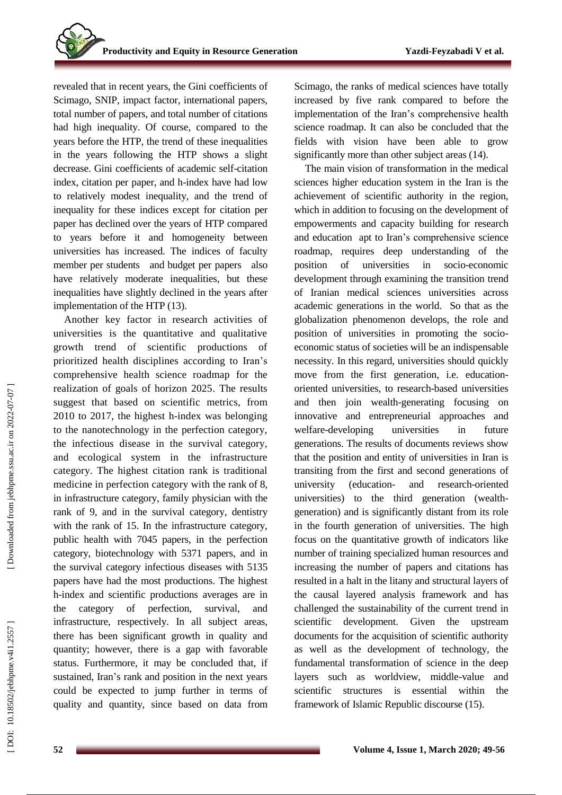revealed that in recent years, the Gini coefficients of Scimago, SNIP, impact factor, international papers, total number of papers, and total number of citations had high inequality . Of course, compared to the years before the HTP, the trend of these inequalities in the years following the HTP shows a slight decrease. Gini coefficients of academic self-citation index, citation per paper, and h -index have had low to relatively modest inequality, and the trend of inequality for these indices except for citation per paper has declined over the years of HTP compared to years before it and homogeneity between universities has increased. The indices of faculty member per students and budget per papers also have relatively moderate inequalities, but these inequalities have slightly declined in the years after implementation of the HTP (13).

Another key factor in research activities of universities is the quantitative and qualitative growth trend of scientific productions of prioritized health disciplines according to Iran's comprehensive health science roadmap for the realization of goals of horizon 2025. The results suggest that based on scientific metrics , from 2010 to 2017, the highest h -index was belonging to the nanotechnology in the perfection category, the infectious disease in the survival category, and ecological system in the infrastructure category. The highest citation rank is traditional medicine in perfection category with the rank of 8, in infrastructure category, family physician with the rank of 9, and in the survival category, dentistry with the rank of 15. In the infrastructure category, public health with 7045 papers, in the perfection category, biotechnology with 5371 papers, and in the survival category infectious diseases with 5135 papers have had the most productions . The highest h -index and scientific productions averages are in the category of perfection, survival, and infrastructure, respectively. In all subject areas, there has been significant growth in quality and quantity; however, there is a gap with favorable status. Furthermore, it may be concluded that, if sustained, Iran 's rank and position in the next years could be expected to jump further in terms of quality and quantity, since based on data from

Scimago, the ranks of medical sciences have totally increased by five rank compared to before the implementation of the Iran's comprehensive health science roadmap. It can also be concluded that the fields with vision have been able to grow significantly more than other subject areas (14).

The main vision of transformation in the medical sciences higher education system in the Iran is the achievement of scientific authority in the region, which in addition to focusing on the development of empowerments and capacity building for research and education apt to Iran's comprehensive science roadmap , requires deep understanding of the position of universities in socio-economic development through examining the transition trend of Iranian medical sciences universities across academic generations in the world. So that as the globalization phenomenon develops, the role and position of universities in promoting the socio economic status of societies will be an indispensable necessity. In this regard, universities should quickly move from the first generation, i.e. education oriented universities , to research -based universities and then join wealth -generating focusing on innovative and entrepreneurial approaches and welfare -developing universities in future generations. The results of documents reviews show that the position and entity of universities in Iran is transiting from the first and second generation s of university (education - and research -oriented universities) to the third generation (wealth generation) and is significantly distant from its role in the fourth generation of universities. The high focus on the quantitative growth of indicators like number of training specialized human resources and increasing the number of papers and citations has resulted in a halt in the litany and structural layers of the causal layered analysis framework and has challenged the sustainability of the current trend in scientific development. Given the upstream documents for the acquisition of scientific authority as well as the development of technology, the fundamental transformation of science in the deep layers such as worldview, middle -value and scientific structures is essential within the framework of Islamic Republic discourse (15).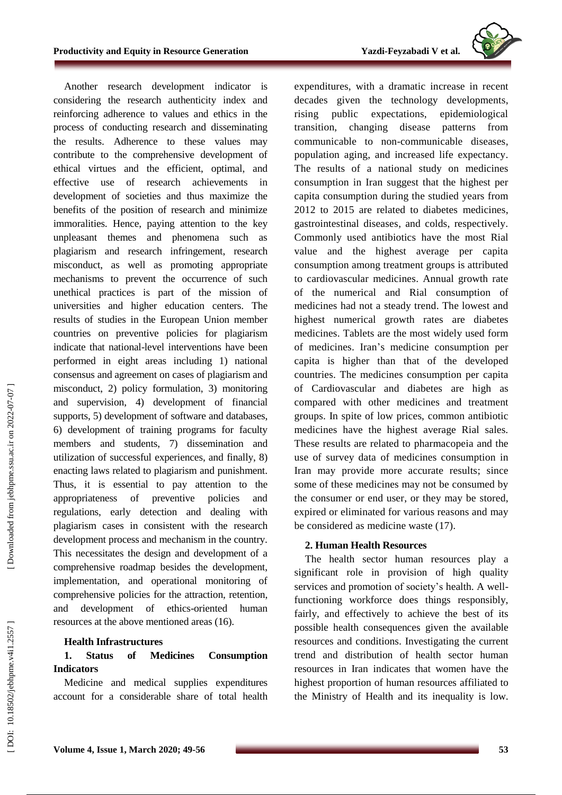**-Feyzabadi V et al.**



Another research development indicator is considering the research authenticity index and reinforcing adherence to values and ethics in the process of conducting research and disseminating the results. Adherence to these values may contribute to the comprehensive development of ethical virtues and the efficient, optimal, and effective use of research achievements in development of societies and thus maximize the benefits of the position of research and minimize immoralities. Hence, paying attention to the key unpleasant themes and phenomena such as plagiarism and research infringement , research misconduct, as well as promoting appropriate mechanisms to prevent the occurrence of such unethical practices is part of the mission of universities and higher education centers. The results of studies in the European Union member countries on preventive policies for plagiarism indicate that national -level interventions have been performed in eight areas including 1) national consensus and agreement on cases of plagiarism and misconduct, 2) policy formulation, 3) monitoring and supervision, 4) development of financial support s, 5) development of software and databases, 6) development of training programs for faculty members and students, 7) dissemination and utilization of successful experiences, and finally, 8) enacting laws related to plagiarism and punishment. Thus, it is essential to pay attention to the appropriateness of preventive policies and regulations, early detection and dealing with plagiarism cases in consistent with the research development process and mechanism in the country. This necessitates the design and development of a comprehensive roadmap besides the development, implementation , and operational monitoring of comprehensive policies for the attraction, retention, and development of ethics -oriented human resources at the above mentioned areas (16).

# **Health Infrastructure s**

#### **1 . Status of Medicines Consumption Indicators**

Medicine and medical supplies expenditures account for a considerable share of total health expenditures, with a dramatic increase in recent decades given the technology developments, rising public expectations, epidemiological transition, changing disease patterns from communicable to non -communicable diseases , population aging , and increased life expectancy. The results of a national study on medicines consumption in Iran suggest that the highest per capita consumption during the studied years from 2012 to 2015 are related to diabetes medicines, gastrointestinal diseases , and colds, respectively. Commonly used antibiotics have the most Rial value and the highest average per capita consumption among treatment groups is attributed to cardiovascular medicines. Annual growth rate of the numerical and Rial consumption of medicines had not a steady trend. The lowest and highest numerical growth rates are diabetes medicines. Tablets are the most widely used form of medicines. Iran 's medicine consumption per capita is higher than that of the developed countries. The medicines consumption per capita of Cardiovascular and diabetes are high as compared with other medicines and treatment groups. In spite of low prices, common antibiotic medicines have the highest average Rial sales. These results are related to pharmacopeia and the use of survey data of medicines consumption in Iran may provide more accurate results; since some of these medicines may not be consumed by the consumer or end user, or they may be store d, expired or eliminated for various reasons and may be considered as medicine waste (17).

# **2. Human Health Resources**

The health sector human resources play a significant role in provision of high quality services and promotion of society's health. A wellfunctioning workforce does things responsibly, fairly , and effectively to achieve the best of its possible health consequences given the available resources and conditions. Investigating the current trend and distribution of health sector human resources in Iran indicates that women have the highest proportion of human resources affiliated to the Ministry of Health and its inequality is low.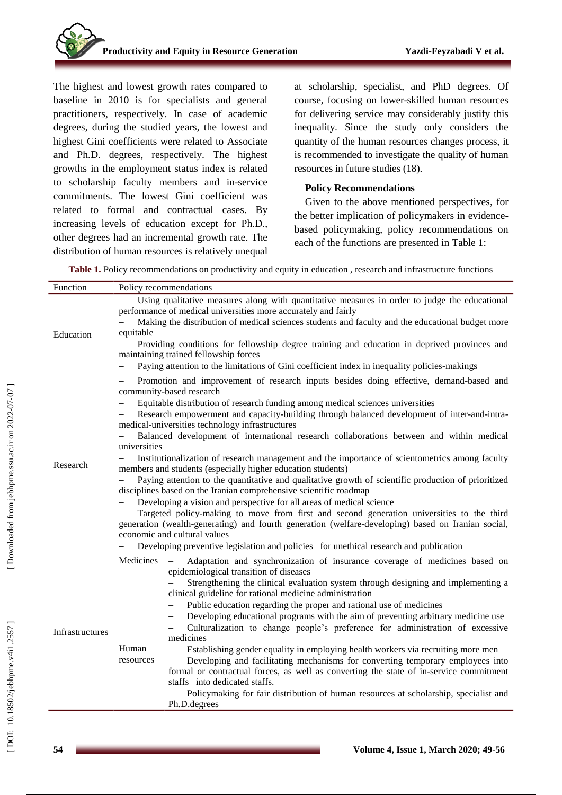The highest and lowest growth rates compared to baseline in 2010 is for specialists and general practitioners, respectively. In case of academic degrees, during the studied years, the lowest and highest Gini coefficients were related to Associate and Ph . D. degrees, respectively. The highest growths in the employment status index is related to scholarship faculty members and in -service commitments. The lowest Gini coefficient was relate d to formal and contractual cases. By increasing levels of education except for Ph . D ., other degrees had an incremental growth rate. The distribution of human resources is relatively unequal

at scholarship, specialist, and PhD degrees. Of course, focusing on lower -skilled human resources for delivering service may considerably justify this inequality. Since the study only considers the quantity of the human resources changes process, it is recommended to investigate the quality of human resources in future studies (18).

# **Policy Recommendations**

Given to the above mentioned perspectives, for the better implication of policymakers in evidence based policymaking, policy recommendations on each of the functions are presented in Table 1:

**Table 1.** Policy recommendations on productivity and equity in education , research and infrastructure functions

| Function        |                                                                                                                                                                                                                                           | Policy recommendations                                                                                                                                                                                                                                                                              |  |
|-----------------|-------------------------------------------------------------------------------------------------------------------------------------------------------------------------------------------------------------------------------------------|-----------------------------------------------------------------------------------------------------------------------------------------------------------------------------------------------------------------------------------------------------------------------------------------------------|--|
| Education       |                                                                                                                                                                                                                                           | Using qualitative measures along with quantitative measures in order to judge the educational<br>performance of medical universities more accurately and fairly                                                                                                                                     |  |
|                 | Making the distribution of medical sciences students and faculty and the educational budget more<br>equitable                                                                                                                             |                                                                                                                                                                                                                                                                                                     |  |
|                 | Providing conditions for fellowship degree training and education in deprived provinces and<br>maintaining trained fellowship forces<br>Paying attention to the limitations of Gini coefficient index in inequality policies-makings<br>- |                                                                                                                                                                                                                                                                                                     |  |
|                 |                                                                                                                                                                                                                                           | Promotion and improvement of research inputs besides doing effective, demand-based and<br>community-based research<br>Equitable distribution of research funding among medical sciences universities<br>Research empowerment and capacity-building through balanced development of inter-and-intra- |  |
| Research        | medical-universities technology infrastructures                                                                                                                                                                                           |                                                                                                                                                                                                                                                                                                     |  |
|                 | Balanced development of international research collaborations between and within medical<br>universities                                                                                                                                  |                                                                                                                                                                                                                                                                                                     |  |
|                 | Institutionalization of research management and the importance of scientometrics among faculty<br>members and students (especially higher education students)                                                                             |                                                                                                                                                                                                                                                                                                     |  |
|                 | Paying attention to the quantitative and qualitative growth of scientific production of prioritized<br>disciplines based on the Iranian comprehensive scientific roadmap                                                                  |                                                                                                                                                                                                                                                                                                     |  |
|                 |                                                                                                                                                                                                                                           | Developing a vision and perspective for all areas of medical science                                                                                                                                                                                                                                |  |
|                 | Targeted policy-making to move from first and second generation universities to the third<br>generation (wealth-generating) and fourth generation (welfare-developing) based on Iranian social,<br>economic and cultural values           |                                                                                                                                                                                                                                                                                                     |  |
|                 |                                                                                                                                                                                                                                           | Developing preventive legislation and policies for unethical research and publication                                                                                                                                                                                                               |  |
| Infrastructures | Medicines                                                                                                                                                                                                                                 | Adaptation and synchronization of insurance coverage of medicines based on<br>$\overline{\phantom{0}}$<br>epidemiological transition of diseases                                                                                                                                                    |  |
|                 |                                                                                                                                                                                                                                           | Strengthening the clinical evaluation system through designing and implementing a<br>clinical guideline for rational medicine administration                                                                                                                                                        |  |
|                 |                                                                                                                                                                                                                                           | Public education regarding the proper and rational use of medicines                                                                                                                                                                                                                                 |  |
|                 |                                                                                                                                                                                                                                           | Developing educational programs with the aim of preventing arbitrary medicine use<br>Culturalization to change people's preference for administration of excessive                                                                                                                                  |  |
|                 |                                                                                                                                                                                                                                           | medicines                                                                                                                                                                                                                                                                                           |  |
|                 | Human<br>resources                                                                                                                                                                                                                        | Establishing gender equality in employing health workers via recruiting more men<br>$\overline{\phantom{0}}$<br>Developing and facilitating mechanisms for converting temporary employees into<br>$\overline{\phantom{0}}$                                                                          |  |
|                 |                                                                                                                                                                                                                                           | formal or contractual forces, as well as converting the state of in-service commitment                                                                                                                                                                                                              |  |
|                 |                                                                                                                                                                                                                                           | staffs into dedicated staffs.                                                                                                                                                                                                                                                                       |  |
|                 |                                                                                                                                                                                                                                           | Policymaking for fair distribution of human resources at scholarship, specialist and<br>Ph.D.degrees                                                                                                                                                                                                |  |
|                 |                                                                                                                                                                                                                                           |                                                                                                                                                                                                                                                                                                     |  |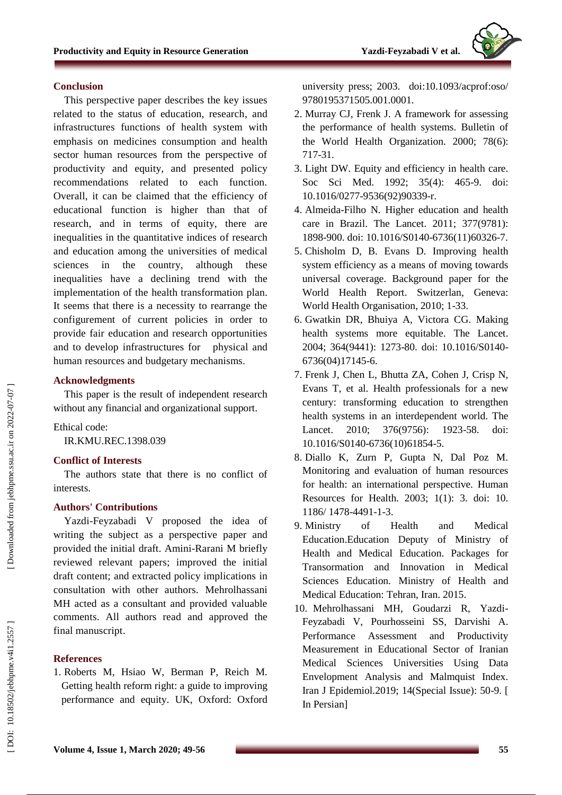# **Conclusion**

This perspective paper describes the key issues related to the status of education, research , and infrastructure s functions of health system with emphasis on medicines consumption and health sector human resources from the perspective of productivity and equity, and presented policy recommendations related to each function. Overall, it can be claimed that the efficiency of educational function is higher than that of research, and in terms of equity, there are inequalities in the quantitative indices of research and education among the universities of medical sciences in the country, although these inequalities have a declining trend with the implementation of the health transformation plan. It seems that there is a necessity to rearrange the configurement of current policies in order to provide fair education and research opportunities and to develop infrastructures for physical and human resources and budgetary mechanisms.

# **Acknowledgments**

This paper is the result of independent research without any financial and organizational support.

### Ethical code :

IR.KMU.REC.1398.039

### **Conflict of Interests**

The authors state that there is no conflict of interest s .

# **Authors' Contributions**

Yazdi -Feyzabadi V proposed the idea of writing the subject as a perspective paper and provided the initial draft. Amini -Rarani M briefly reviewed relevant papers ; improved the initial draft content; and extracted policy implications in consultation with other authors. [Mehrolhassani](http://sjku.muk.ac.ir/search.php?slc_lang=en&sid=1&auth=Mehrolhassani) MH acted as a consultant and provided valuable comments. All authors read and approved the final manuscript .

# **References**

1. Roberts M, Hsiao W, Berman P, Reich M. Getting health reform right: a guide to improving performance and equity. UK, Oxford: Oxford university press; 2003. doi:10.1093/acprof:oso/ 9780195371505.001.0001.

- 2. Murray CJ, Frenk J. A framework for assessing the performance of health systems. Bulletin of the World Health Organization. 2000; 78(6): 717 -31.
- 3. Light DW. Equity and efficiency in health care. Soc Sci Med. 1992; 35(4): 465 -9. doi: 10.1016/0277 -9536(92)90339 -r.
- 4. Almeida -Filho N. Higher education and health care in Brazil. The Lancet. 2011; 377(9781): 1898 -900. doi: 10.1016/S0140 -6736(11)60326 -7.
- 5. Chisholm D, B. Evans D. Improving health system efficiency as a means of moving towards universal coverage. Background paper for the World Health Report. Switzerlan, Geneva: World Health Organisation, 2010; 1 -33.
- 6. Gwatkin DR, Bhuiya A, Victora CG. Making health systems more equitable. The Lancet. 2004; 364(9441): 1273 -80. doi: 10.1016/S0140 - 6736(04)17145 -6.
- 7. Frenk J, Chen L, Bhutta ZA, Cohen J, Crisp N, Evans T, et al. Health professionals for a new century: transforming education to strengthen health systems in an interdependent world. The Lancet. 2010: 376(9756): 1923-58. doi: 10.1016/S0140 -6736(10)61854 -5.
- 8. Diallo K, Zurn P, Gupta N, Dal Poz M. Monitoring and evaluation of human resources for health: an international perspective. Human Resources for Health. 2003; 1(1): 3. doi: 10. 1186/ 1478 -4491 - 1 -3.
- 9. Ministry of Health and Medical Education.Education Deputy of Ministry of Health and Medical Education. Packages for Transormation and Innovation in Medical Sciences Education. Ministry of Health and Medical Education: Tehran, Iran. 2015.
- 10. Mehrolhassani MH, Goudarzi R, Yazdi Feyzabadi V, Pourhosseini SS, Darvishi A. Performance Assessment and Productivity Measurement in Educational Sector of Iranian Medical Sciences Universities Using Data Envelopment Analysis and Malmquist Index. Iran J Epidemiol.2019; 14(Special Issue): 50 -9. [ In Persian]

Downloaded from jebhpme.ssu.ac.ir on 2022-07-07